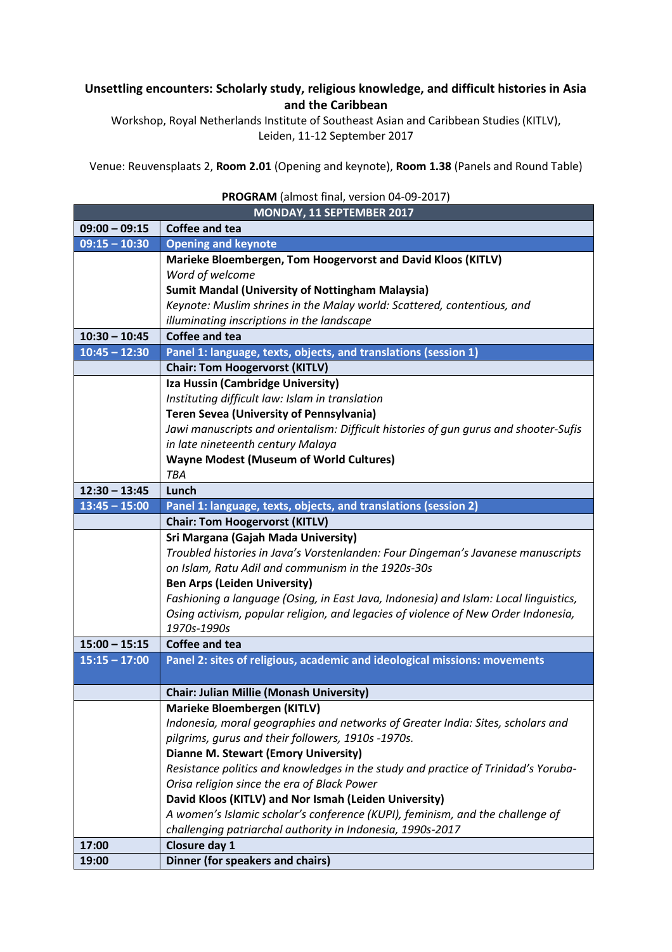## **Unsettling encounters: Scholarly study, religious knowledge, and difficult histories in Asia and the Caribbean**

Workshop, Royal Netherlands Institute of Southeast Asian and Caribbean Studies (KITLV), Leiden, 11-12 September 2017

Venue: Reuvensplaats 2, **Room 2.01** (Opening and keynote), **Room 1.38** (Panels and Round Table)

| PROGRAM (almost final, version 04-09-2017) |                                                                                      |  |
|--------------------------------------------|--------------------------------------------------------------------------------------|--|
| MONDAY, 11 SEPTEMBER 2017                  |                                                                                      |  |
| $09:00 - 09:15$                            | <b>Coffee and tea</b>                                                                |  |
| $09:15 - 10:30$                            | <b>Opening and keynote</b>                                                           |  |
|                                            | Marieke Bloembergen, Tom Hoogervorst and David Kloos (KITLV)                         |  |
|                                            | Word of welcome                                                                      |  |
|                                            | <b>Sumit Mandal (University of Nottingham Malaysia)</b>                              |  |
|                                            | Keynote: Muslim shrines in the Malay world: Scattered, contentious, and              |  |
|                                            | illuminating inscriptions in the landscape                                           |  |
| $10:30 - 10:45$                            | Coffee and tea                                                                       |  |
| $10:45 - 12:30$                            | Panel 1: language, texts, objects, and translations (session 1)                      |  |
|                                            | <b>Chair: Tom Hoogervorst (KITLV)</b>                                                |  |
|                                            | Iza Hussin (Cambridge University)                                                    |  |
|                                            | Instituting difficult law: Islam in translation                                      |  |
|                                            | <b>Teren Sevea (University of Pennsylvania)</b>                                      |  |
|                                            | Jawi manuscripts and orientalism: Difficult histories of gun gurus and shooter-Sufis |  |
|                                            | in late nineteenth century Malaya                                                    |  |
|                                            | <b>Wayne Modest (Museum of World Cultures)</b>                                       |  |
|                                            | TBA                                                                                  |  |
| $12:30 - 13:45$                            | Lunch                                                                                |  |
| $13:45 - 15:00$                            | Panel 1: language, texts, objects, and translations (session 2)                      |  |
|                                            | <b>Chair: Tom Hoogervorst (KITLV)</b>                                                |  |
|                                            | Sri Margana (Gajah Mada University)                                                  |  |
|                                            | Troubled histories in Java's Vorstenlanden: Four Dingeman's Javanese manuscripts     |  |
|                                            | on Islam, Ratu Adil and communism in the 1920s-30s                                   |  |
|                                            | <b>Ben Arps (Leiden University)</b>                                                  |  |
|                                            | Fashioning a language (Osing, in East Java, Indonesia) and Islam: Local linguistics, |  |
|                                            | Osing activism, popular religion, and legacies of violence of New Order Indonesia,   |  |
|                                            | 1970s-1990s                                                                          |  |
| $15:00 - 15:15$                            | Coffee and tea                                                                       |  |
| $15:15 - 17:00$                            | Panel 2: sites of religious, academic and ideological missions: movements            |  |
|                                            |                                                                                      |  |
|                                            | <b>Chair: Julian Millie (Monash University)</b>                                      |  |
|                                            | <b>Marieke Bloembergen (KITLV)</b>                                                   |  |
|                                            | Indonesia, moral geographies and networks of Greater India: Sites, scholars and      |  |
|                                            | pilgrims, gurus and their followers, 1910s -1970s.                                   |  |
|                                            | <b>Dianne M. Stewart (Emory University)</b>                                          |  |
|                                            | Resistance politics and knowledges in the study and practice of Trinidad's Yoruba-   |  |
|                                            | Orisa religion since the era of Black Power                                          |  |
|                                            | David Kloos (KITLV) and Nor Ismah (Leiden University)                                |  |
|                                            | A women's Islamic scholar's conference (KUPI), feminism, and the challenge of        |  |
|                                            | challenging patriarchal authority in Indonesia, 1990s-2017                           |  |
| 17:00                                      | Closure day 1                                                                        |  |
| 19:00                                      | Dinner (for speakers and chairs)                                                     |  |